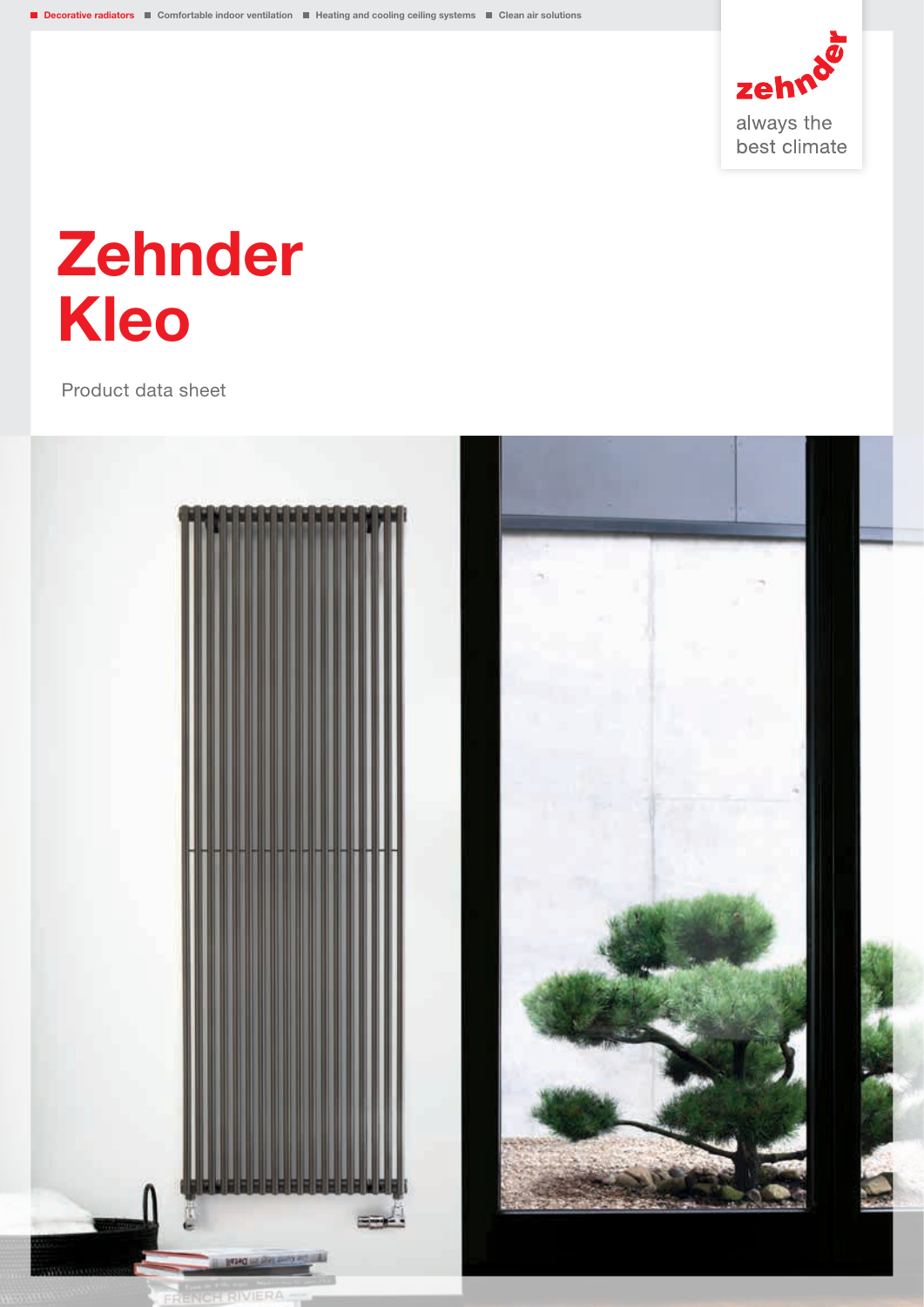

# Zehnder Kleo

Product data sheet

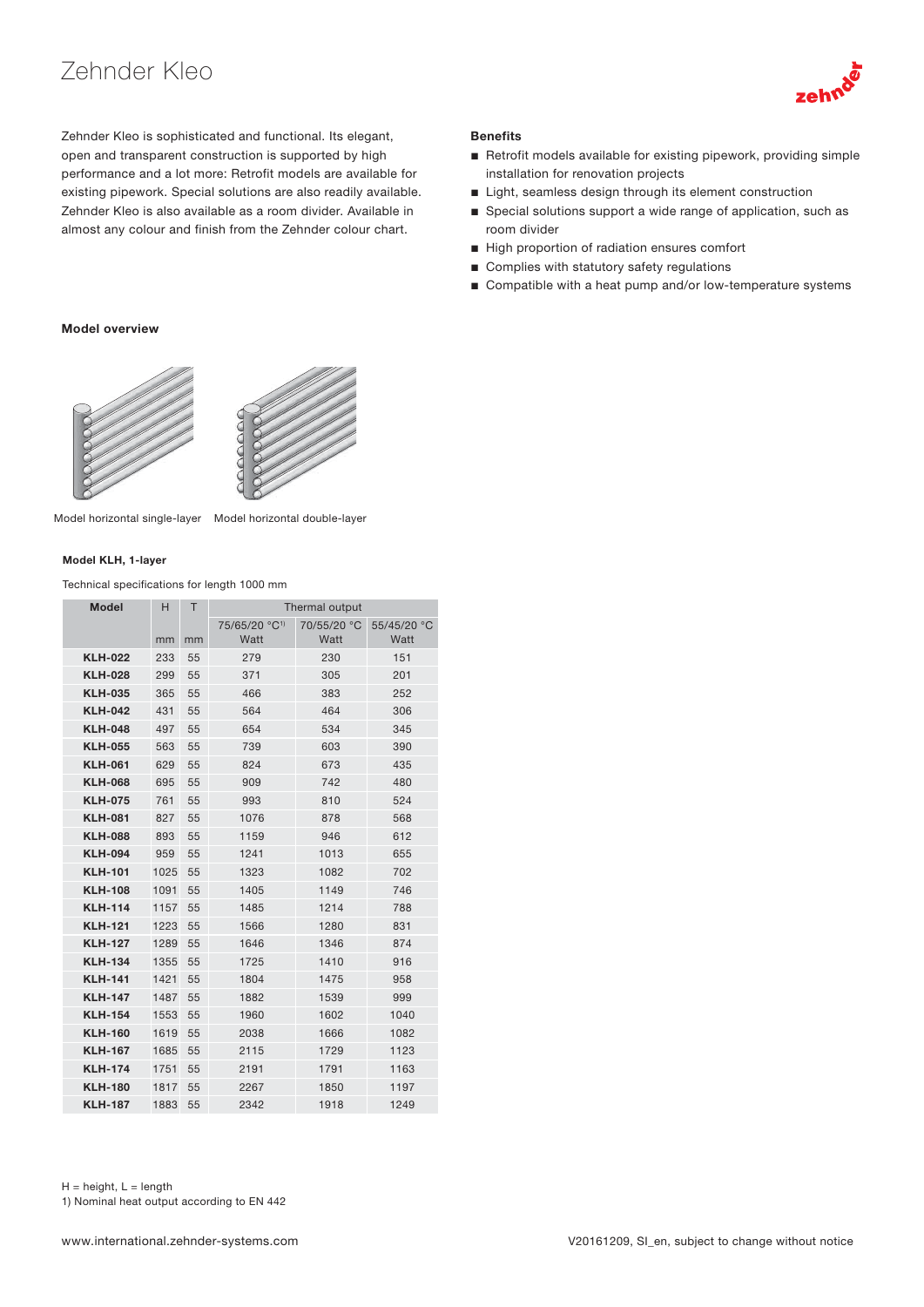## Zehnder Kleo



Zehnder Kleo is sophisticated and functional. Its elegant, open and transparent construction is supported by high performance and a lot more: Retrofit models are available for existing pipework. Special solutions are also readily available. Zehnder Kleo is also available as a room divider. Available in almost any colour and finish from the Zehnder colour chart.

## **Benefits**

- Retrofit models available for existing pipework, providing simple installation for renovation projects
- Light, seamless design through its element construction
- Special solutions support a wide range of application, such as room divider
- High proportion of radiation ensures comfort
- Complies with statutory safety regulations
- Compatible with a heat pump and/or low-temperature systems

#### Model overview



Model horizontal single-layer Model horizontal double-layer

#### Model KLH, 1-layer

Technical specifications for length 1000 mm

| <b>Model</b>   | H    | т  | Thermal output            |             |             |  |
|----------------|------|----|---------------------------|-------------|-------------|--|
|                |      |    | 75/65/20 °C <sup>1)</sup> | 70/55/20 °C | 55/45/20 °C |  |
|                | mm   | mm | Watt                      | Watt        | Watt        |  |
| <b>KLH-022</b> | 233  | 55 | 279                       | 230         | 151         |  |
| <b>KLH-028</b> | 299  | 55 | 371                       | 305         | 201         |  |
| <b>KLH-035</b> | 365  | 55 | 466                       | 383         | 252         |  |
| <b>KLH-042</b> | 431  | 55 | 564                       | 464         | 306         |  |
| <b>KLH-048</b> | 497  | 55 | 654                       | 534         | 345         |  |
| <b>KLH-055</b> | 563  | 55 | 739                       | 603         | 390         |  |
| <b>KLH-061</b> | 629  | 55 | 824                       | 673         | 435         |  |
| <b>KLH-068</b> | 695  | 55 | 909                       | 742         | 480         |  |
| <b>KLH-075</b> | 761  | 55 | 993                       | 810         | 524         |  |
| <b>KLH-081</b> | 827  | 55 | 1076                      | 878         | 568         |  |
| <b>KLH-088</b> | 893  | 55 | 1159                      | 946         | 612         |  |
| <b>KLH-094</b> | 959  | 55 | 1241                      | 1013        | 655         |  |
| <b>KLH-101</b> | 1025 | 55 | 1323                      | 1082        | 702         |  |
| <b>KLH-108</b> | 1091 | 55 | 1405                      | 1149        | 746         |  |
| <b>KLH-114</b> | 1157 | 55 | 1485                      | 1214        | 788         |  |
| <b>KLH-121</b> | 1223 | 55 | 1566                      | 1280        | 831         |  |
| <b>KLH-127</b> | 1289 | 55 | 1646                      | 1346        | 874         |  |
| <b>KLH-134</b> | 1355 | 55 | 1725                      | 1410        | 916         |  |
| <b>KLH-141</b> | 1421 | 55 | 1804                      | 1475        | 958         |  |
| <b>KLH-147</b> | 1487 | 55 | 1882                      | 1539        | 999         |  |
| <b>KLH-154</b> | 1553 | 55 | 1960                      | 1602        | 1040        |  |
| <b>KLH-160</b> | 1619 | 55 | 2038                      | 1666        | 1082        |  |
| <b>KLH-167</b> | 1685 | 55 | 2115                      | 1729        | 1123        |  |
| <b>KLH-174</b> | 1751 | 55 | 2191                      | 1791        | 1163        |  |
| <b>KLH-180</b> | 1817 | 55 | 2267                      | 1850        | 1197        |  |
| <b>KLH-187</b> | 1883 | 55 | 2342                      | 1918        | 1249        |  |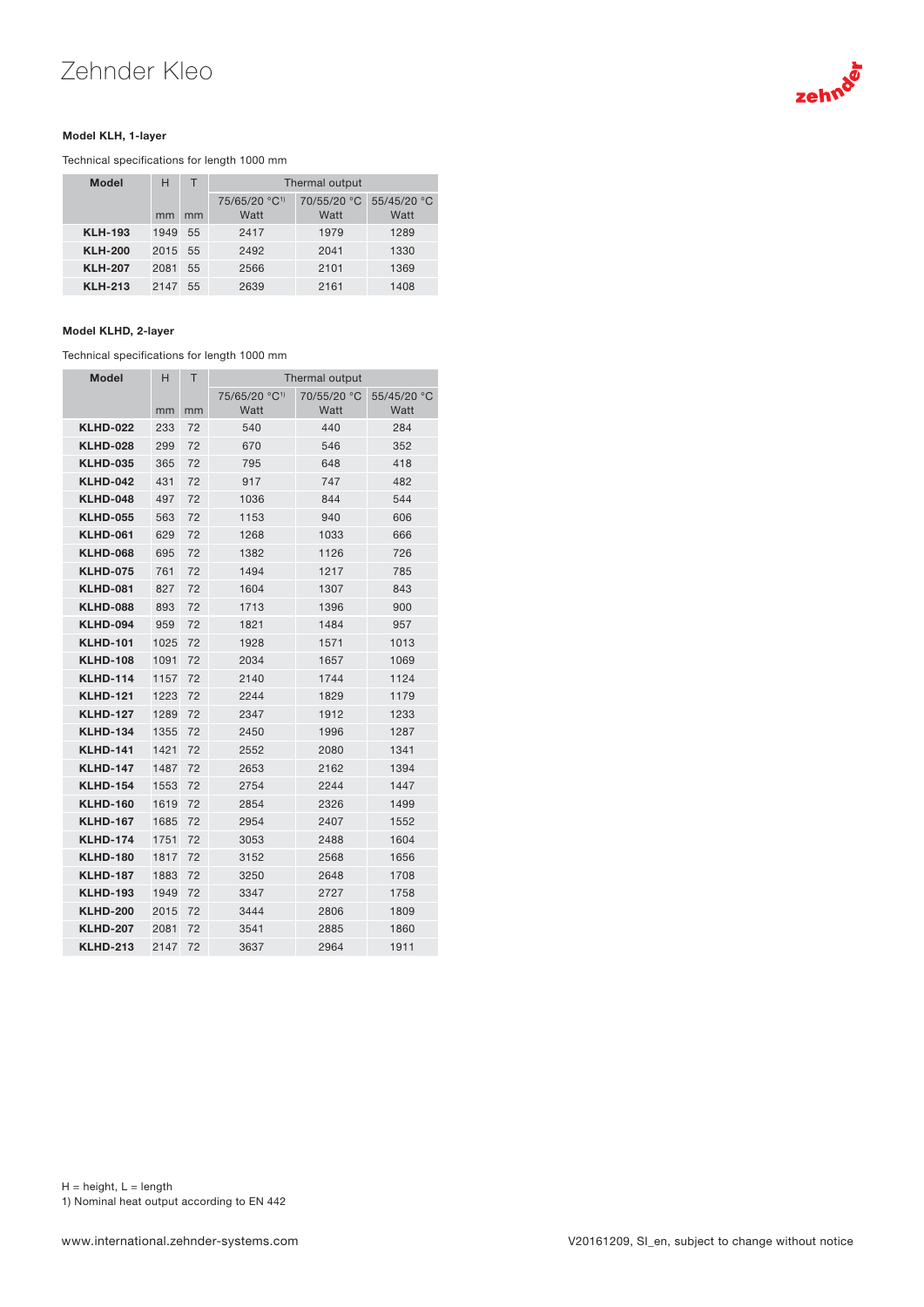# Zehnder Kleo



#### Model KLH, 1-layer

Technical specifications for length 1000 mm

| <b>Model</b>   | н       | т  | Thermal output                    |                     |                     |
|----------------|---------|----|-----------------------------------|---------------------|---------------------|
|                | mm      | mm | 75/65/20 °C <sup>1)</sup><br>Watt | 70/55/20 °C<br>Watt | 55/45/20 °C<br>Watt |
| <b>KLH-193</b> | 1949    | 55 | 2417                              | 1979                | 1289                |
| <b>KLH-200</b> | 2015 55 |    | 2492                              | 2041                | 1330                |
| <b>KLH-207</b> | 2081    | 55 | 2566                              | 2101                | 1369                |
| <b>KLH-213</b> | 2147    | 55 | 2639                              | 2161                | 1408                |

#### Model KLHD, 2-layer

Technical specifications for length 1000 mm

| <b>Model</b>    | н    | Τ  | Thermal output                    |                     |                     |  |
|-----------------|------|----|-----------------------------------|---------------------|---------------------|--|
|                 | mm   | mm | 75/65/20 °C <sup>1)</sup><br>Watt | 70/55/20 °C<br>Watt | 55/45/20 °C<br>Watt |  |
| <b>KLHD-022</b> | 233  | 72 | 540                               | 440                 | 284                 |  |
| <b>KLHD-028</b> | 299  | 72 | 670                               | 546                 | 352                 |  |
| <b>KLHD-035</b> | 365  | 72 | 795                               | 648                 | 418                 |  |
| <b>KLHD-042</b> | 431  | 72 | 917                               | 747                 | 482                 |  |
| <b>KLHD-048</b> | 497  | 72 | 1036                              | 844                 | 544                 |  |
| <b>KLHD-055</b> | 563  | 72 | 1153                              | 940                 | 606                 |  |
| <b>KLHD-061</b> | 629  | 72 | 1268                              | 1033                | 666                 |  |
| <b>KLHD-068</b> | 695  | 72 | 1382                              | 1126                | 726                 |  |
| <b>KLHD-075</b> | 761  | 72 | 1494                              | 1217                | 785                 |  |
| <b>KLHD-081</b> | 827  | 72 | 1604                              | 1307                | 843                 |  |
| <b>KLHD-088</b> | 893  | 72 | 1713                              | 1396                | 900                 |  |
| <b>KLHD-094</b> | 959  | 72 | 1821                              | 1484                | 957                 |  |
| <b>KLHD-101</b> | 1025 | 72 | 1928                              | 1571                | 1013                |  |
| <b>KLHD-108</b> | 1091 | 72 | 2034                              | 1657                | 1069                |  |
| <b>KLHD-114</b> | 1157 | 72 | 2140                              | 1744                | 1124                |  |
| <b>KLHD-121</b> | 1223 | 72 | 2244                              | 1829                | 1179                |  |
| <b>KLHD-127</b> | 1289 | 72 | 2347                              | 1912                | 1233                |  |
| <b>KLHD-134</b> | 1355 | 72 | 2450                              | 1996                | 1287                |  |
| <b>KLHD-141</b> | 1421 | 72 | 2552                              | 2080                | 1341                |  |
| <b>KLHD-147</b> | 1487 | 72 | 2653                              | 2162                | 1394                |  |
| <b>KLHD-154</b> | 1553 | 72 | 2754                              | 2244                | 1447                |  |
| <b>KLHD-160</b> | 1619 | 72 | 2854                              | 2326                | 1499                |  |
| <b>KLHD-167</b> | 1685 | 72 | 2954                              | 2407                | 1552                |  |
| <b>KLHD-174</b> | 1751 | 72 | 3053                              | 2488                | 1604                |  |
| <b>KLHD-180</b> | 1817 | 72 | 3152                              | 2568                | 1656                |  |
| <b>KLHD-187</b> | 1883 | 72 | 3250                              | 2648                | 1708                |  |
| <b>KLHD-193</b> | 1949 | 72 | 3347                              | 2727                | 1758                |  |
| <b>KLHD-200</b> | 2015 | 72 | 3444                              | 2806                | 1809                |  |
| <b>KLHD-207</b> | 2081 | 72 | 3541                              | 2885                | 1860                |  |
| <b>KLHD-213</b> | 2147 | 72 | 3637                              | 2964                | 1911                |  |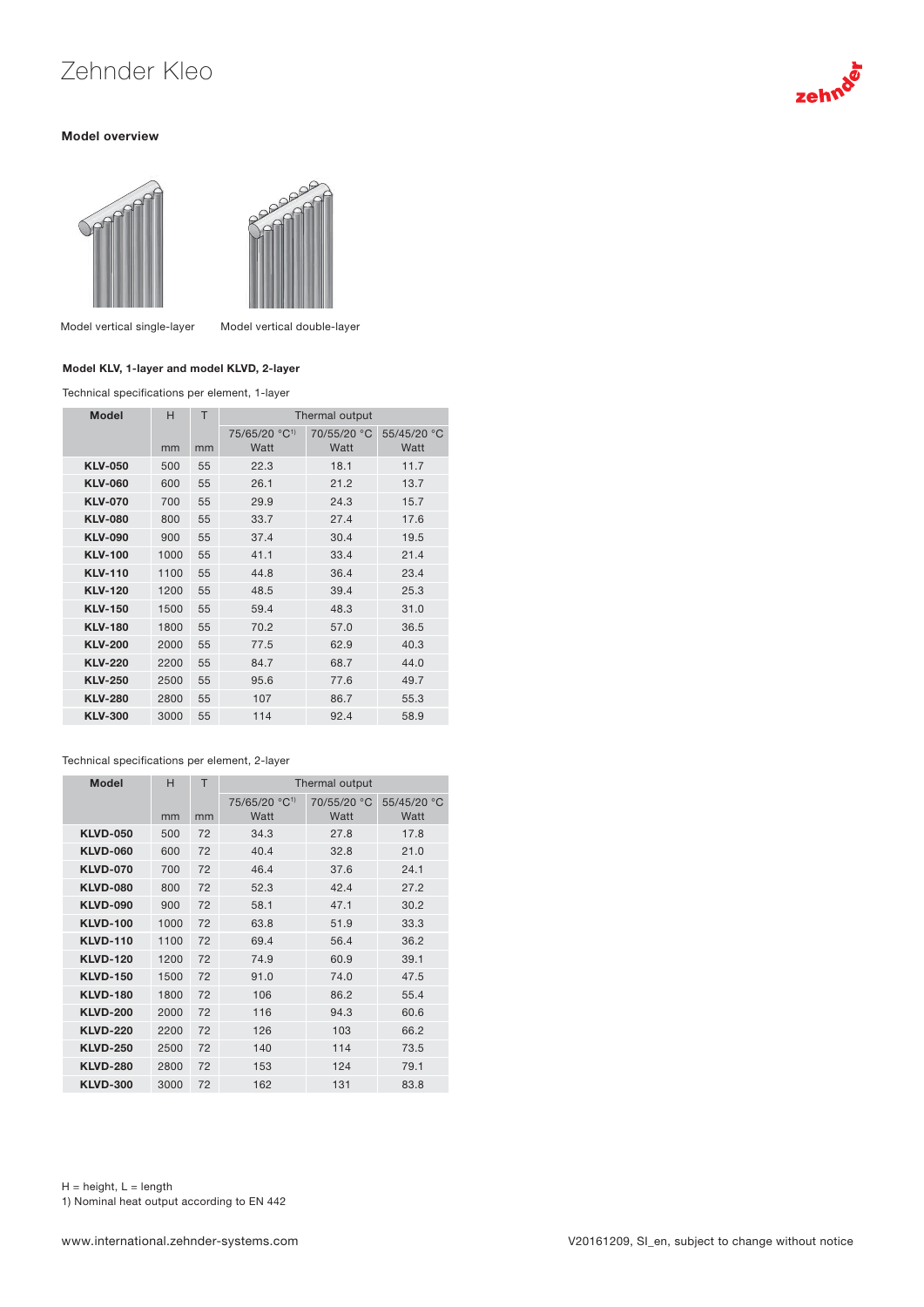# Zehnder Kleo

#### Model overview





Model vertical single-layer Model vertical double-layer

### Model KLV, 1-layer and model KLVD, 2-layer

Technical specifications per element, 1-layer

| Model          | H<br>mm | T<br>mm | Thermal output                    |                     |                     |
|----------------|---------|---------|-----------------------------------|---------------------|---------------------|
|                |         |         | 75/65/20 °C <sup>1)</sup><br>Watt | 70/55/20 °C<br>Watt | 55/45/20 °C<br>Watt |
| <b>KLV-050</b> | 500     | 55      | 22.3                              | 18.1                | 11.7                |
| <b>KLV-060</b> | 600     | 55      | 26.1                              | 21.2                | 13.7                |
| <b>KLV-070</b> | 700     | 55      | 29.9                              | 24.3                | 15.7                |
| <b>KLV-080</b> | 800     | 55      | 33.7                              | 27.4                | 17.6                |
| <b>KLV-090</b> | 900     | 55      | 37.4                              | 30.4                | 19.5                |
| <b>KLV-100</b> | 1000    | 55      | 41.1                              | 33.4                | 21.4                |
| <b>KLV-110</b> | 1100    | 55      | 44.8                              | 36.4                | 23.4                |
| <b>KLV-120</b> | 1200    | 55      | 48.5                              | 39.4                | 25.3                |
| <b>KLV-150</b> | 1500    | 55      | 59.4                              | 48.3                | 31.0                |
| <b>KLV-180</b> | 1800    | 55      | 70.2                              | 57.0                | 36.5                |
| <b>KLV-200</b> | 2000    | 55      | 77.5                              | 62.9                | 40.3                |
| <b>KLV-220</b> | 2200    | 55      | 84.7                              | 68.7                | 44.0                |
| <b>KLV-250</b> | 2500    | 55      | 95.6                              | 77.6                | 49.7                |
| <b>KLV-280</b> | 2800    | 55      | 107                               | 86.7                | 55.3                |
| <b>KLV-300</b> | 3000    | 55      | 114                               | 92.4                | 58.9                |

#### Technical specifications per element, 2-layer

| <b>Model</b>    | H    | Τ  | Thermal output            |             |             |
|-----------------|------|----|---------------------------|-------------|-------------|
|                 |      |    | 75/65/20 °C <sup>1)</sup> | 70/55/20 °C | 55/45/20 °C |
|                 | mm   | mm | Watt                      | Watt        | Watt        |
| <b>KLVD-050</b> | 500  | 72 | 34.3                      | 27.8        | 17.8        |
| <b>KLVD-060</b> | 600  | 72 | 40.4                      | 32.8        | 21.0        |
| <b>KLVD-070</b> | 700  | 72 | 46.4                      | 37.6        | 24.1        |
| <b>KLVD-080</b> | 800  | 72 | 52.3                      | 42.4        | 27.2        |
| <b>KLVD-090</b> | 900  | 72 | 58.1                      | 47.1        | 30.2        |
| <b>KLVD-100</b> | 1000 | 72 | 63.8                      | 51.9        | 33.3        |
| <b>KLVD-110</b> | 1100 | 72 | 69.4                      | 56.4        | 36.2        |
| <b>KLVD-120</b> | 1200 | 72 | 74.9                      | 60.9        | 39.1        |
| <b>KLVD-150</b> | 1500 | 72 | 91.0                      | 74.0        | 47.5        |
| <b>KLVD-180</b> | 1800 | 72 | 106                       | 86.2        | 55.4        |
| <b>KLVD-200</b> | 2000 | 72 | 116                       | 94.3        | 60.6        |
| <b>KLVD-220</b> | 2200 | 72 | 126                       | 103         | 66.2        |
| <b>KLVD-250</b> | 2500 | 72 | 140                       | 114         | 73.5        |
| <b>KLVD-280</b> | 2800 | 72 | 153                       | 124         | 79.1        |
| <b>KLVD-300</b> | 3000 | 72 | 162                       | 131         | 83.8        |

 $H =$  height,  $L =$  length 1) Nominal heat output according to EN 442